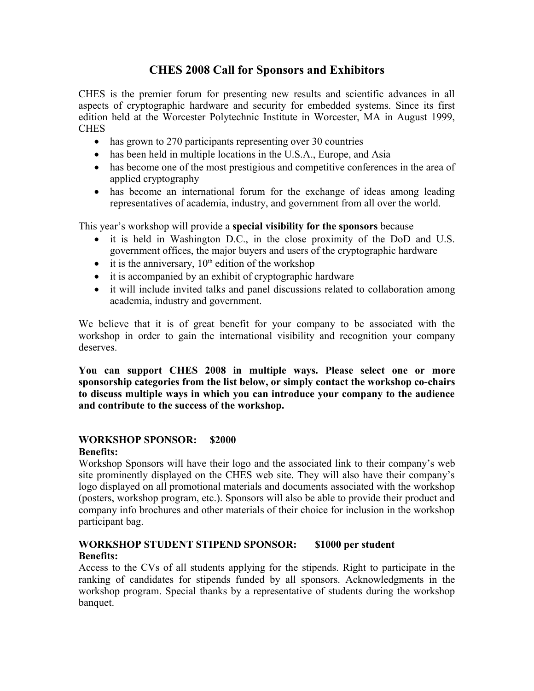# **CHES 2008 Call for Sponsors and Exhibitors**

CHES is the premier forum for presenting new results and scientific advances in all aspects of cryptographic hardware and security for embedded systems. Since its first edition held at the Worcester Polytechnic Institute in Worcester, MA in August 1999, **CHES** 

- has grown to 270 participants representing over 30 countries
- has been held in multiple locations in the U.S.A., Europe, and Asia
- has become one of the most prestigious and competitive conferences in the area of applied cryptography
- has become an international forum for the exchange of ideas among leading representatives of academia, industry, and government from all over the world.

This year's workshop will provide a **special visibility for the sponsors** because

- it is held in Washington D.C., in the close proximity of the DoD and U.S. government offices, the major buyers and users of the cryptographic hardware
- $\bullet$  it is the anniversary,  $10<sup>th</sup>$  edition of the workshop
- it is accompanied by an exhibit of cryptographic hardware
- it will include invited talks and panel discussions related to collaboration among academia, industry and government.

We believe that it is of great benefit for your company to be associated with the workshop in order to gain the international visibility and recognition your company deserves.

**You can support CHES 2008 in multiple ways. Please select one or more sponsorship categories from the list below, or simply contact the workshop co-chairs to discuss multiple ways in which you can introduce your company to the audience and contribute to the success of the workshop.**

### **WORKSHOP SPONSOR: \$2000**

#### **Benefits:**

Workshop Sponsors will have their logo and the associated link to their company's web site prominently displayed on the CHES web site. They will also have their company's logo displayed on all promotional materials and documents associated with the workshop (posters, workshop program, etc.). Sponsors will also be able to provide their product and company info brochures and other materials of their choice for inclusion in the workshop participant bag.

### **WORKSHOP STUDENT STIPEND SPONSOR: \$1000 per student Benefits:**

Access to the CVs of all students applying for the stipends. Right to participate in the ranking of candidates for stipends funded by all sponsors. Acknowledgments in the workshop program. Special thanks by a representative of students during the workshop banquet.